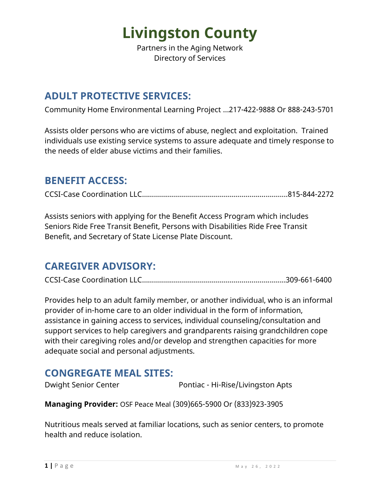Partners in the Aging Network Directory of Services

### **ADULT PROTECTIVE SERVICES:**

Community Home Environmental Learning Project …217-422-9888 Or 888-243-5701

Assists older persons who are victims of abuse, neglect and exploitation. Trained individuals use existing service systems to assure adequate and timely response to the needs of elder abuse victims and their families.

### **BENEFIT ACCESS:**

CCSI-Case Coordination LLC…………….……………………………………….….…....815-844-2272

Assists seniors with applying for the Benefit Access Program which includes Seniors Ride Free Transit Benefit, Persons with Disabilities Ride Free Transit Benefit, and Secretary of State License Plate Discount.

### **CAREGIVER ADVISORY:**

CCSI-Case Coordination LLC………..………………………………………….….….....309-661-6400

Provides help to an adult family member, or another individual, who is an informal provider of in-home care to an older individual in the form of information, assistance in gaining access to services, individual counseling/consultation and support services to help caregivers and grandparents raising grandchildren cope with their caregiving roles and/or develop and strengthen capacities for more adequate social and personal adjustments.

### **CONGREGATE MEAL SITES:**

Dwight Senior Center **Pontiac - Hi-Rise/Livingston Apts** 

**Managing Provider:** OSF Peace Meal (309)665-5900 Or (833)923-3905

Nutritious meals served at familiar locations, such as senior centers, to promote health and reduce isolation.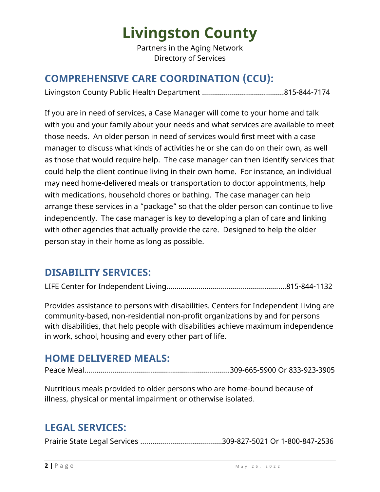Partners in the Aging Network Directory of Services

### **COMPREHENSIVE CARE COORDINATION (CCU):**

Livingston County Public Health Department …….……………….……….…..815-844-7174

If you are in need of services, a Case Manager will come to your home and talk with you and your family about your needs and what services are available to meet those needs. An older person in need of services would first meet with a case manager to discuss what kinds of activities he or she can do on their own, as well as those that would require help. The case manager can then identify services that could help the client continue living in their own home. For instance, an individual may need home-delivered meals or transportation to doctor appointments, help with medications, household chores or bathing. The case manager can help arrange these services in a "package" so that the older person can continue to live independently. The case manager is key to developing a plan of care and linking with other agencies that actually provide the care. Designed to help the older person stay in their home as long as possible.

#### **DISABILITY SERVICES:**

LIFE Center for Independent Living……………………….…………………….…….815-844-1132

Provides assistance to persons with disabilities. Centers for Independent Living are community-based, non-residential non-profit organizations by and for persons with disabilities, that help people with disabilities achieve maximum independence in work, school, housing and every other part of life.

### **HOME DELIVERED MEALS:**

Peace Meal……………………………………………………………….309-665-5900 Or 833-923-3905

Nutritious meals provided to older persons who are home-bound because of illness, physical or mental impairment or otherwise isolated.

### **LEGAL SERVICES:**

Prairie State Legal Services …..………………………………309-827-5021 Or 1-800-847-2536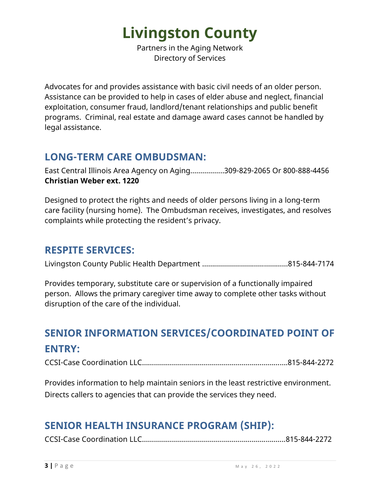Partners in the Aging Network Directory of Services

Advocates for and provides assistance with basic civil needs of an older person. Assistance can be provided to help in cases of elder abuse and neglect, financial exploitation, consumer fraud, landlord/tenant relationships and public benefit programs. Criminal, real estate and damage award cases cannot be handled by legal assistance.

### **LONG-TERM CARE OMBUDSMAN:**

East Central Illinois Area Agency on Aging……………..309-829-2065 Or 800-888-4456 **Christian Weber ext. 1220** 

Designed to protect the rights and needs of older persons living in a long-term care facility (nursing home). The Ombudsman receives, investigates, and resolves complaints while protecting the resident's privacy.

### **RESPITE SERVICES:**

Livingston County Public Health Department …….……………….…..…………815-844-7174

Provides temporary, substitute care or supervision of a functionally impaired person. Allows the primary caregiver time away to complete other tasks without disruption of the care of the individual.

## **SENIOR INFORMATION SERVICES/COORDINATED POINT OF ENTRY:**

CCSI-Case Coordination LLC……………………………………………………………….815-844-2272

Provides information to help maintain seniors in the least restrictive environment. Directs callers to agencies that can provide the services they need.

### **SENIOR HEALTH INSURANCE PROGRAM (SHIP):**

CCSI-Case Coordination LLC……………….…………………………………….……....815-844-2272